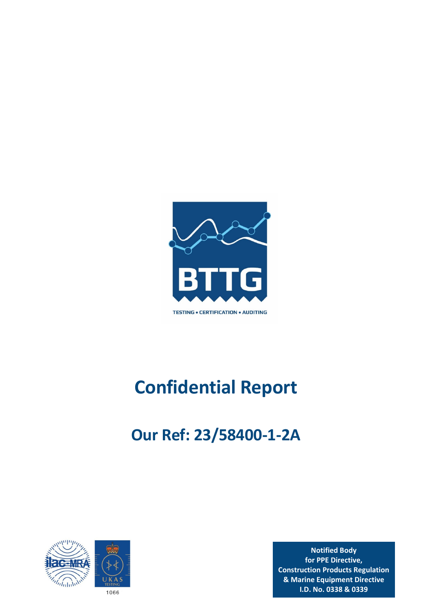

# **Confidential Report**

# **Our Ref: 23/58400‐1‐2A**



**Notified Body for PPE Directive, Construction Products Regulation & Marine Equipment Directive I.D. No. 0338 & 0339**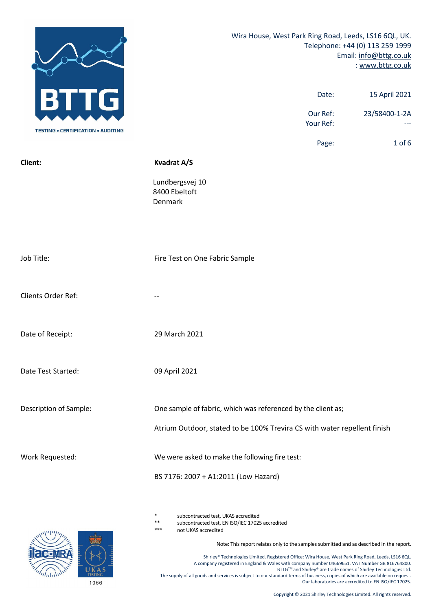|                                           | Wira House, West Park Ring Road, Leeds, LS16 6QL, UK.<br>Date:<br>Our Ref:                                                               | Telephone: +44 (0) 113 259 1999<br>Email: info@bttg.co.uk<br>: www.bttg.co.uk<br>15 April 2021<br>23/58400-1-2A |
|-------------------------------------------|------------------------------------------------------------------------------------------------------------------------------------------|-----------------------------------------------------------------------------------------------------------------|
| <b>TESTING . CERTIFICATION . AUDITING</b> | Your Ref:                                                                                                                                |                                                                                                                 |
|                                           | Page:                                                                                                                                    | $1$ of $6$                                                                                                      |
| Client:                                   | <b>Kvadrat A/S</b><br>Lundbergsvej 10<br>8400 Ebeltoft<br>Denmark                                                                        |                                                                                                                 |
| Job Title:                                | Fire Test on One Fabric Sample                                                                                                           |                                                                                                                 |
| Clients Order Ref:                        |                                                                                                                                          |                                                                                                                 |
| Date of Receipt:                          | 29 March 2021                                                                                                                            |                                                                                                                 |
| Date Test Started:                        | 09 April 2021                                                                                                                            |                                                                                                                 |
| Description of Sample:                    | One sample of fabric, which was referenced by the client as;<br>Atrium Outdoor, stated to be 100% Trevira CS with water repellent finish |                                                                                                                 |
| Work Requested:                           | We were asked to make the following fire test:<br>BS 7176: 2007 + A1:2011 (Low Hazard)                                                   |                                                                                                                 |

subcontracted test, UKAS accredited

\*\* subcontracted test, EN ISO/IEC 17025 accredited

not UKAS accredited

Note: This report relates only to the samples submitted and as described in the report.

Shirley® Technologies Limited. Registered Office: Wira House, West Park Ring Road, Leeds, LS16 6QL. A company registered in England & Wales with company number 04669651. VAT Number GB 816764800. BTTG™ and Shirley® are trade names of Shirley Technologies Ltd. The supply of all goods and services is subject to our standard terms of business, copies of which are available on request. Our laboratories are accredited to EN ISO/IEC 17025.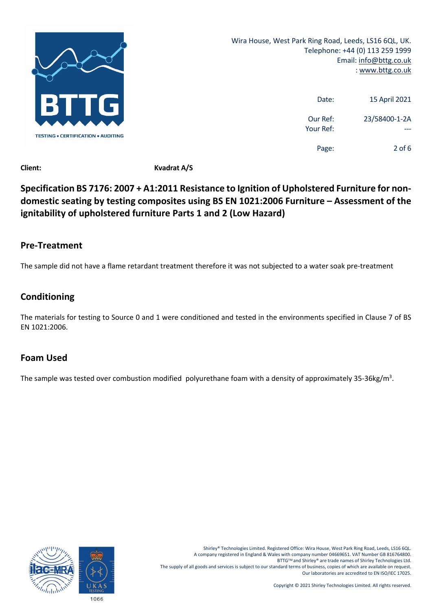

Wira House, West Park Ring Road, Leeds, LS16 6QL, UK. Telephone: +44 (0) 113 259 1999 Email: info@bttg.co.uk : www.bttg.co.uk

| 15 April 2021 | Date:                 |
|---------------|-----------------------|
| 23/58400-1-2A | Our Ref:<br>Your Ref: |
| 2 of 6        | Page:                 |

**Client: Kvadrat A/S**

### **Specification BS 7176: 2007 + A1:2011 Resistance to Ignition of Upholstered Furniture for non‐ domestic seating by testing composites using BS EN 1021:2006 Furniture – Assessment of the ignitability of upholstered furniture Parts 1 and 2 (Low Hazard)**

#### **Pre‐Treatment**

The sample did not have a flame retardant treatment therefore it was not subjected to a water soak pre‐treatment

#### **Conditioning**

The materials for testing to Source 0 and 1 were conditioned and tested in the environments specified in Clause 7 of BS EN 1021:2006.

#### **Foam Used**

The sample was tested over combustion modified polyurethane foam with a density of approximately 35-36kg/m<sup>3</sup>.



Shirley® Technologies Limited. Registered Office: Wira House, West Park Ring Road, Leeds, LS16 6QL. A company registered in England & Wales with company number 04669651. VAT Number GB 816764800. BTTGTM and Shirley® are trade names of Shirley Technologies Ltd. The supply of all goods and services is subject to our standard terms of business, copies of which are available on request. Our laboratories are accredited to EN ISO/IEC 17025.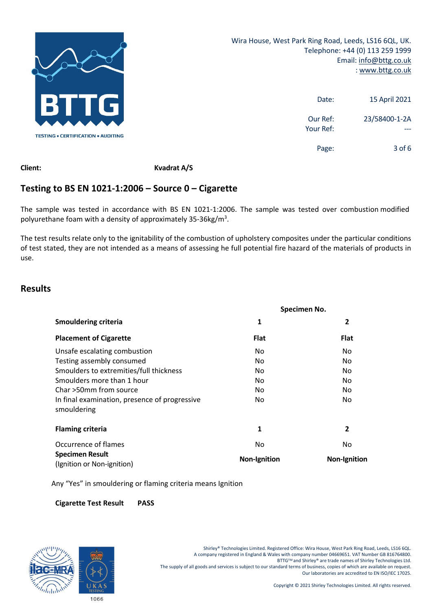

| 15 April 2021 | Date:                 |
|---------------|-----------------------|
| 23/58400-1-2A | Our Ref:<br>Your Ref: |
| $3$ of 6      | Page:                 |

**Client: Kvadrat A/S**

### **Testing to BS EN 1021‐1:2006 – Source 0 – Cigarette**

The sample was tested in accordance with BS EN 1021-1:2006. The sample was tested over combustion modified polyurethane foam with a density of approximately 35-36kg/m<sup>3</sup>.

The test results relate only to the ignitability of the combustion of upholstery composites under the particular conditions of test stated, they are not intended as a means of assessing he full potential fire hazard of the materials of products in use.

#### **Results**

|                                                              | Specimen No.        |                     |
|--------------------------------------------------------------|---------------------|---------------------|
| <b>Smouldering criteria</b>                                  | 1                   | $\overline{2}$      |
| <b>Placement of Cigarette</b>                                | <b>Flat</b>         | <b>Flat</b>         |
| Unsafe escalating combustion                                 | No.                 | No.                 |
| Testing assembly consumed                                    | No.                 | No.                 |
| Smoulders to extremities/full thickness                      | No.                 | No.                 |
| Smoulders more than 1 hour                                   | No.                 | No                  |
| Char >50mm from source                                       | No.                 | No.                 |
| In final examination, presence of progressive<br>smouldering | No.                 | No.                 |
| <b>Flaming criteria</b>                                      | 1                   | 2                   |
| Occurrence of flames                                         | No                  | No.                 |
| <b>Specimen Result</b><br>(Ignition or Non-ignition)         | <b>Non-Ignition</b> | <b>Non-Ignition</b> |

Any "Yes" in smouldering or flaming criteria means Ignition

#### **Cigarette Test Result PASS**



Shirley® Technologies Limited. Registered Office: Wira House, West Park Ring Road, Leeds, LS16 6QL. A company registered in England & Wales with company number 04669651. VAT Number GB 816764800. BTTGTM and Shirley® are trade names of Shirley Technologies Ltd. The supply of all goods and services is subject to our standard terms of business, copies of which are available on request. Our laboratories are accredited to EN ISO/IEC 17025.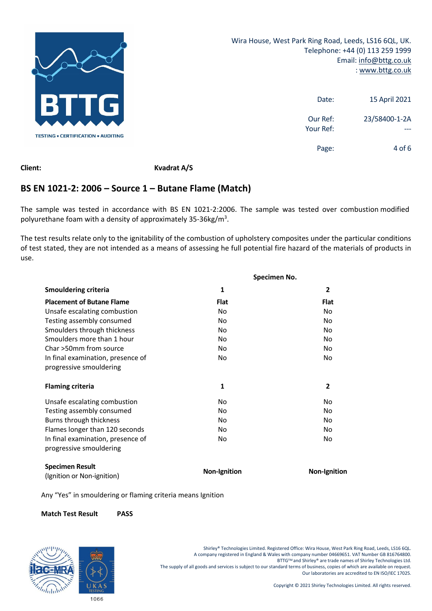

| 15 April 2021 | Date:                 |
|---------------|-----------------------|
| 23/58400-1-2A | Our Ref:<br>Your Ref: |
| 4 of 6        | Page:                 |

**Client: Kvadrat A/S**

#### **BS EN 1021‐2: 2006 – Source 1 – Butane Flame (Match)**

The sample was tested in accordance with BS EN 1021-2:2006. The sample was tested over combustion modified polyurethane foam with a density of approximately 35-36kg/m<sup>3</sup>.

The test results relate only to the ignitability of the combustion of upholstery composites under the particular conditions of test stated, they are not intended as a means of assessing he full potential fire hazard of the materials of products in use.

|                                                      | Specimen No.        |                     |  |
|------------------------------------------------------|---------------------|---------------------|--|
| <b>Smouldering criteria</b>                          | 1                   | $\overline{2}$      |  |
| <b>Placement of Butane Flame</b>                     | <b>Flat</b>         | <b>Flat</b>         |  |
| Unsafe escalating combustion                         | <b>No</b>           | <b>No</b>           |  |
| Testing assembly consumed                            | No                  | No                  |  |
| Smoulders through thickness                          | No                  | No                  |  |
| Smoulders more than 1 hour                           | No                  | No                  |  |
| Char >50mm from source                               | No                  | No                  |  |
| In final examination, presence of                    | No                  | <b>No</b>           |  |
| progressive smouldering                              |                     |                     |  |
| <b>Flaming criteria</b>                              | 1                   | $\overline{2}$      |  |
| Unsafe escalating combustion                         | No                  | No                  |  |
| Testing assembly consumed                            | No                  | No                  |  |
| Burns through thickness                              | No                  | No                  |  |
| Flames longer than 120 seconds                       | No                  | No                  |  |
| In final examination, presence of                    | No                  | No                  |  |
| progressive smouldering                              |                     |                     |  |
| <b>Specimen Result</b><br>(Ignition or Non-ignition) | <b>Non-Ignition</b> | <b>Non-Ignition</b> |  |

Any "Yes" in smouldering or flaming criteria means Ignition

#### **Match Test Result PASS**



Shirley® Technologies Limited. Registered Office: Wira House, West Park Ring Road, Leeds, LS16 6QL. A company registered in England & Wales with company number 04669651. VAT Number GB 816764800. BTTGTM and Shirley® are trade names of Shirley Technologies Ltd. The supply of all goods and services is subject to our standard terms of business, copies of which are available on request. Our laboratories are accredited to EN ISO/IEC 17025.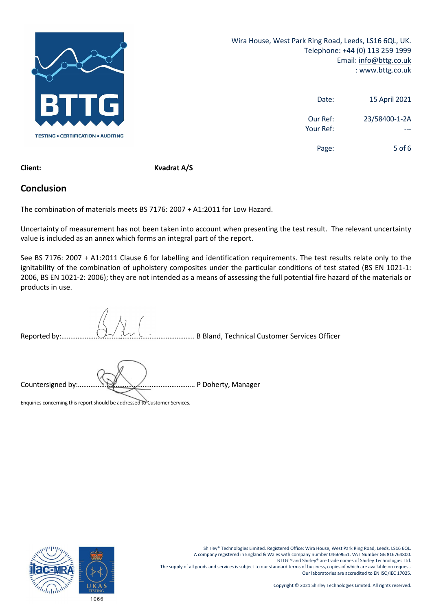

Wira House, West Park Ring Road, Leeds, LS16 6QL, UK. Telephone: +44 (0) 113 259 1999 Email: info@bttg.co.uk : www.bttg.co.uk

| 15 April 2021 | Date:                 |
|---------------|-----------------------|
| 23/58400-1-2A | Our Ref:<br>Your Ref: |
| 5 of 6        | Page:                 |

**Client: Kvadrat A/S**

#### **Conclusion**

The combination of materials meets BS 7176: 2007 + A1:2011 for Low Hazard.

Uncertainty of measurement has not been taken into account when presenting the test result. The relevant uncertainty value is included as an annex which forms an integral part of the report.

See BS 7176: 2007 + A1:2011 Clause 6 for labelling and identification requirements. The test results relate only to the ignitability of the combination of upholstery composites under the particular conditions of test stated (BS EN 1021-1: 2006, BS EN 1021‐2: 2006); they are not intended as a means of assessing the full potential fire hazard of the materials or products in use.

| Reported by:.     |                                                                            | B Bland, Technical Customer Services Officer |
|-------------------|----------------------------------------------------------------------------|----------------------------------------------|
|                   |                                                                            |                                              |
| Countersigned by: | Enquiries concerning this report should be addressed to Customer Services. | P Doherty, Manager                           |



Shirley® Technologies Limited. Registered Office: Wira House, West Park Ring Road, Leeds, LS16 6QL. A company registered in England & Wales with company number 04669651. VAT Number GB 816764800. BTTG™ and Shirley® are trade names of Shirley Technologies Ltd. The supply of all goods and services is subject to our standard terms of business, copies of which are available on request. Our laboratories are accredited to EN ISO/IEC 17025.